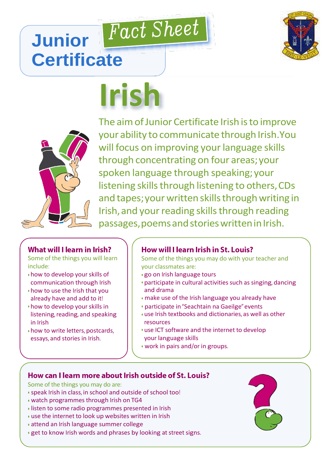

## Fact Sheet **Junior Certificate**

# **Irish**



The aim of Junior Certificate Irish is to improve your ability to communicate through Irish.You will focus on improving your language skills through concentrating on four areas;your spoken language through speaking;your listening skills through listening to others, CDs and tapes; your written skills through writing in Irish, and your reading skills through reading passages, poems and stories written in Irish.

#### What will I learn in Irish?

Some of the things you will learn include:

- how to develop your skills of communication through Irish
- how to use the Irish that you already have and add to it!
- how to develop your skills in listening, reading, and speaking in Irish
- how to write letters, postcards, essays, and stories in Irish.

### How will I learn Irish in St. Louis?

Some of the things you may do with your teacher and your classmates are:

- go on Irish language tours
- participate in cultural activities such as singing, dancing and drama
- make use of the Irish language you already have
- participate in"Seachtain na Gaeilge" events
- use Irish textbooks and dictionaries, as well as other resources
- use ICT software and the internet to develop your language skills
- work in pairs and/or in groups.

#### How can I learn more about Irish outside of St. Louis?

Some of the things you may do are:

- speak Irish in class, in school and outside of school too!
- watch programmes through Irish on TG4
- listen to some radio programmes presented in Irish
- use the internet to look up websites written in Irish
- attend an Irish language summer college
- get to know Irish words and phrases by looking at street signs.